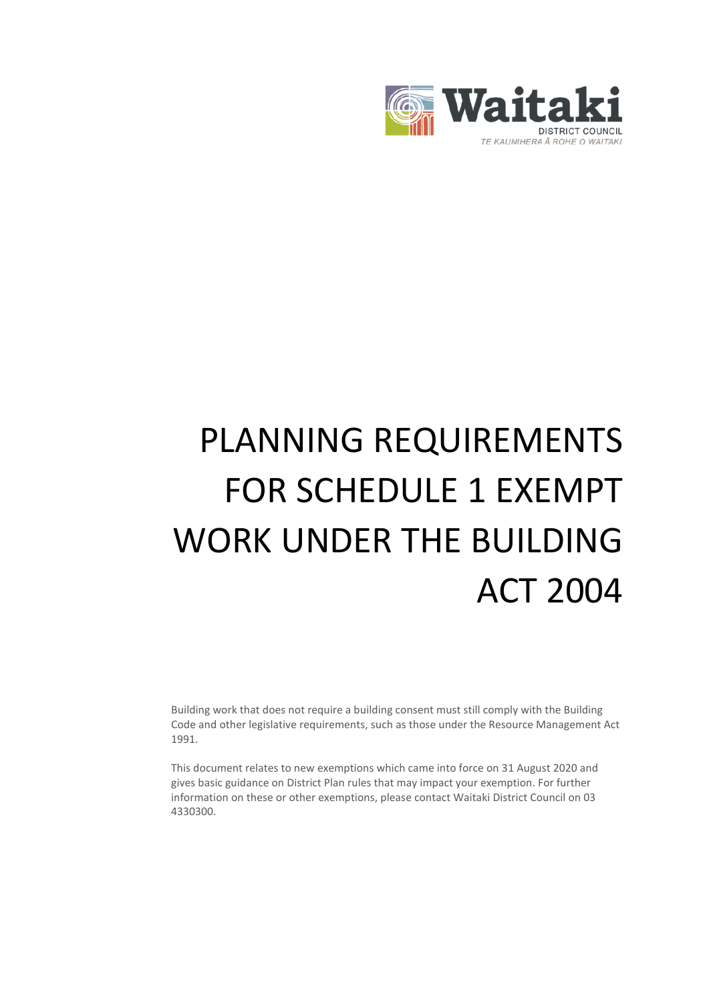

# PLANNING REQUIREMENTS FOR SCHEDULE 1 EXEMPT WORK UNDER THE BUILDING ACT 2004

Building work that does not require a building consent must still comply with the Building Code and other legislative requirements, such as those under the Resource Management Act 1991.

This document relates to new exemptions which came into force on 31 August 2020 and gives basic guidance on District Plan rules that may impact your exemption. For further information on these or other exemptions, please contact Waitaki District Council on 03 4330300.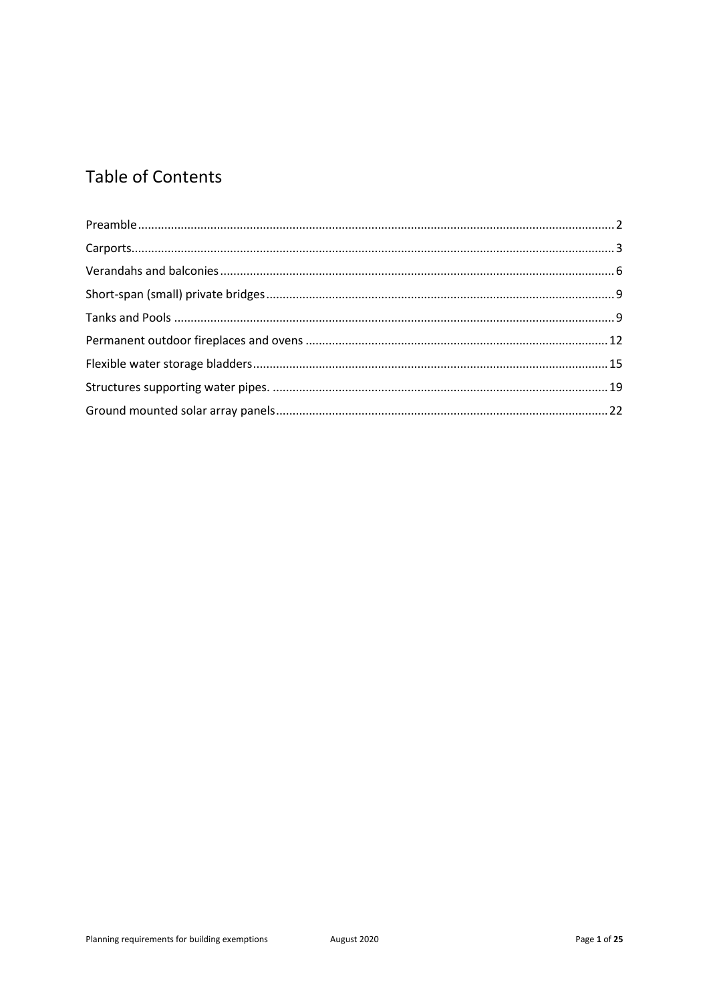# **Table of Contents**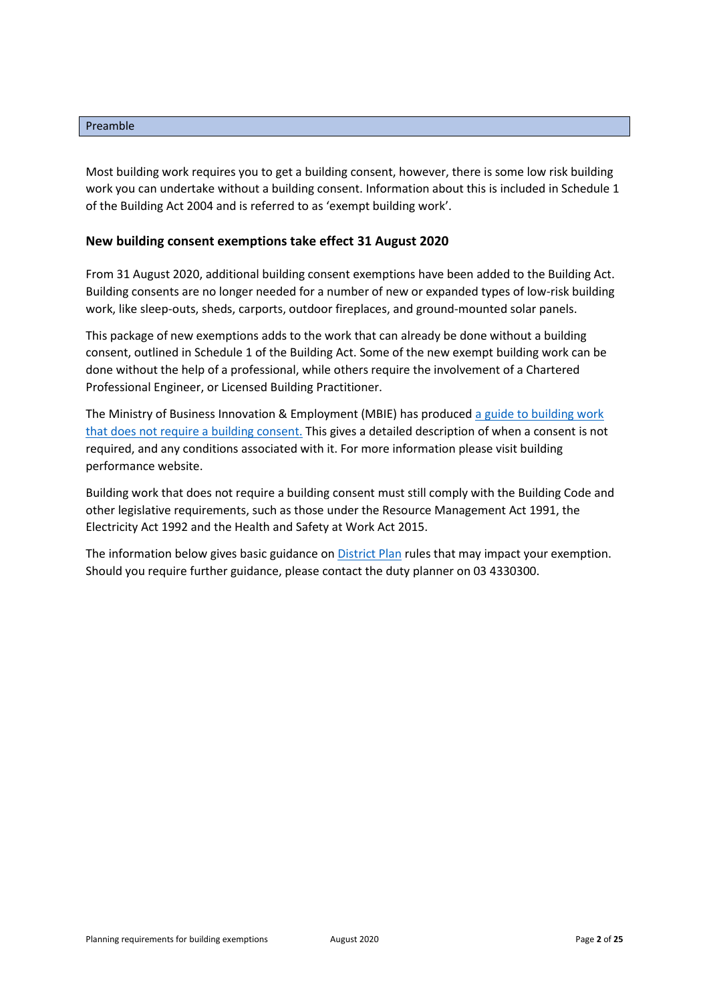#### <span id="page-2-0"></span>Preamble

Most building work requires you to get a building consent, however, there is some low risk building work you can undertake without a building consent. Information about this is included in Schedule 1 of the Building Act 2004 and is referred to as 'exempt building work'.

# **New building consent exemptions take effect 31 August 2020**

From 31 August 2020, additional building consent exemptions have been added to the Building Act. Building consents are no longer needed for a number of new or expanded types of low-risk building work, like sleep-outs, sheds, carports, outdoor fireplaces, and ground-mounted solar panels.

This package of new exemptions adds to the work that can already be done without a building consent, outlined in Schedule 1 of the Building Act. Some of the new exempt building work can be done without the help of a professional, while others require the involvement of a Chartered Professional Engineer, or Licensed Building Practitioner.

The Ministry of Business Innovation & Employment (MBIE) has produced a guide to building work that [does not require a building consent.](https://www.building.govt.nz/projects-and-consents/planning-a-successful-build/scope-and-design/check-if-you-need-consents/building-work-that-doesnt-need-a-building-consent/technical-requirements-for-exempt-building-work/) This gives a detailed description of when a consent is not required, and any conditions associated with it. For more information please visit building performance website.

Building work that does not require a building consent must still comply with the Building Code and other legislative requirements, such as those under the Resource Management Act 1991, the Electricity Act 1992 and the Health and Safety at Work Act 2015.

The information below gives basic guidance o[n District Plan](https://www.waitaki.govt.nz/our-services/planning-and-resource-consents/districtplan/Pages/districtplan.aspx) rules that may impact your exemption. Should you require further guidance, please contact the duty planner on 03 4330300.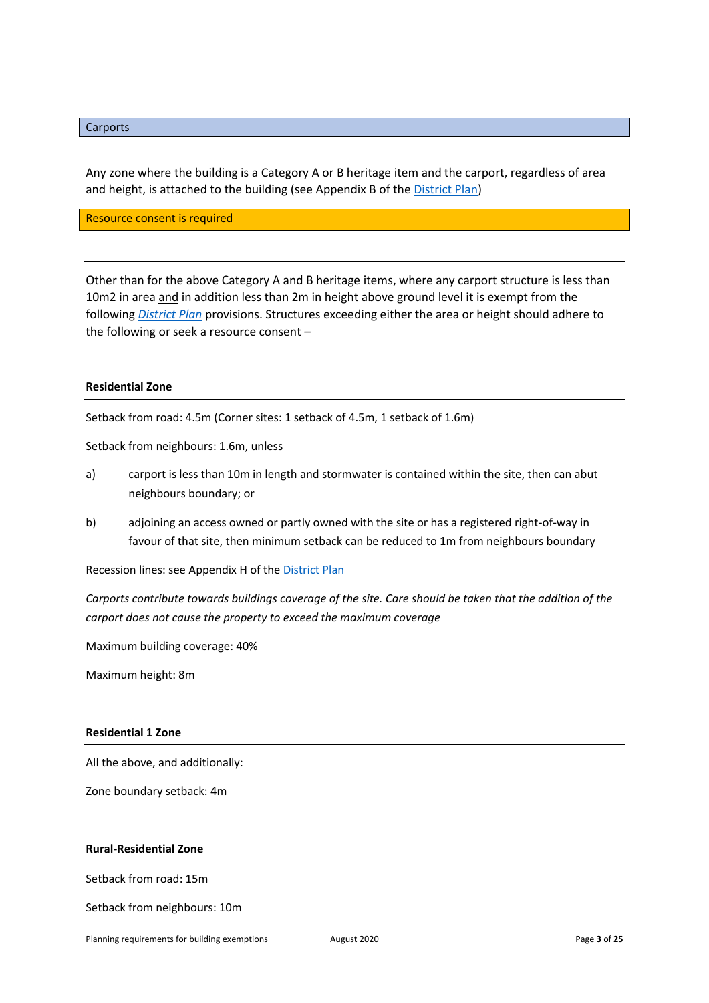# <span id="page-3-0"></span>**Carports**

Any zone where the building is a Category A or B heritage item and the carport, regardless of area and height, is attached to the building (see Appendix B of th[e District Plan\)](https://www.waitaki.govt.nz/our-services/planning-and-resource-consents/districtplan/Pages/districtplan.aspx)

Resource consent is required

Other than for the above Category A and B heritage items, where any carport structure is less than 10m2 in area and in addition less than 2m in height above ground level it is exempt from the following *[District Plan](https://www.waitaki.govt.nz/our-services/planning-and-resource-consents/districtplan/Pages/districtplan.aspx)* provisions. Structures exceeding either the area or height should adhere to the following or seek a resource consent –

#### **Residential Zone**

Setback from road: 4.5m (Corner sites: 1 setback of 4.5m, 1 setback of 1.6m)

Setback from neighbours: 1.6m, unless

- a) carport is less than 10m in length and stormwater is contained within the site, then can abut neighbours boundary; or
- b) adjoining an access owned or partly owned with the site or has a registered right-of-way in favour of that site, then minimum setback can be reduced to 1m from neighbours boundary

Recession lines: see Appendix H of the [District Plan](https://www.waitaki.govt.nz/our-services/planning-and-resource-consents/districtplan/Pages/districtplan.aspx)

*Carports contribute towards buildings coverage of the site. Care should be taken that the addition of the carport does not cause the property to exceed the maximum coverage*

Maximum building coverage: 40%

Maximum height: 8m

#### **Residential 1 Zone**

All the above, and additionally:

Zone boundary setback: 4m

#### **Rural-Residential Zone**

Setback from road: 15m

Setback from neighbours: 10m

Planning requirements for building exemptions **August 2020 Page 3** of 25<sup>*Page* 3 of 25</sub>*Page* 3 of 25<sup>*Page* 3 of 25<sup>*Page* 3 of 25<sup>*Page*</sup> 3 of 25<sup>*Page*</sup> 3 of 25<sup>*Page*</sup> 3 of 25<sup>*Page*</sup> 3 of 25<sup>*Page*</sup> 3 of 25<sup>*Page*</sup></sup></sup></sup>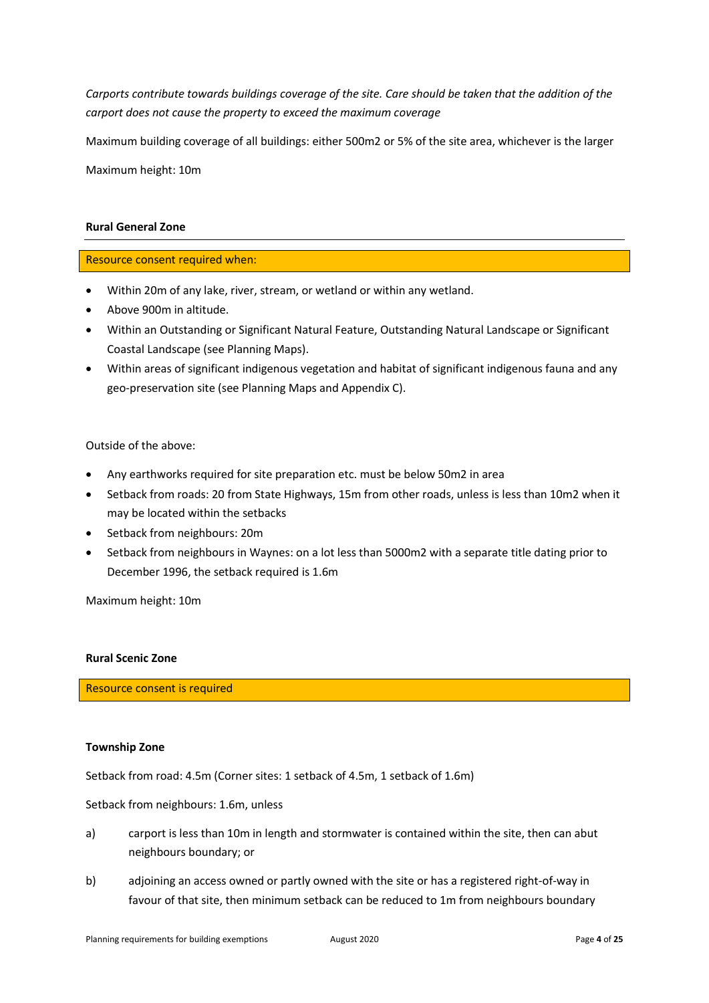*Carports contribute towards buildings coverage of the site. Care should be taken that the addition of the carport does not cause the property to exceed the maximum coverage*

Maximum building coverage of all buildings: either 500m2 or 5% of the site area, whichever is the larger

Maximum height: 10m

#### **Rural General Zone**

Resource consent required when:

- Within 20m of any lake, river, stream, or wetland or within any wetland.
- Above 900m in altitude.
- Within an Outstanding or Significant Natural Feature, Outstanding Natural Landscape or Significant Coastal Landscape (see Planning Maps).
- Within areas of significant indigenous vegetation and habitat of significant indigenous fauna and any geo-preservation site (see Planning Maps and Appendix C).

# Outside of the above:

- Any earthworks required for site preparation etc. must be below 50m2 in area
- Setback from roads: 20 from State Highways, 15m from other roads, unless is less than 10m2 when it may be located within the setbacks
- Setback from neighbours: 20m
- Setback from neighbours in Waynes: on a lot less than 5000m2 with a separate title dating prior to December 1996, the setback required is 1.6m

Maximum height: 10m

#### **Rural Scenic Zone**

Resource consent is required

#### **Township Zone**

Setback from road: 4.5m (Corner sites: 1 setback of 4.5m, 1 setback of 1.6m)

Setback from neighbours: 1.6m, unless

- a) carport is less than 10m in length and stormwater is contained within the site, then can abut neighbours boundary; or
- b) adjoining an access owned or partly owned with the site or has a registered right-of-way in favour of that site, then minimum setback can be reduced to 1m from neighbours boundary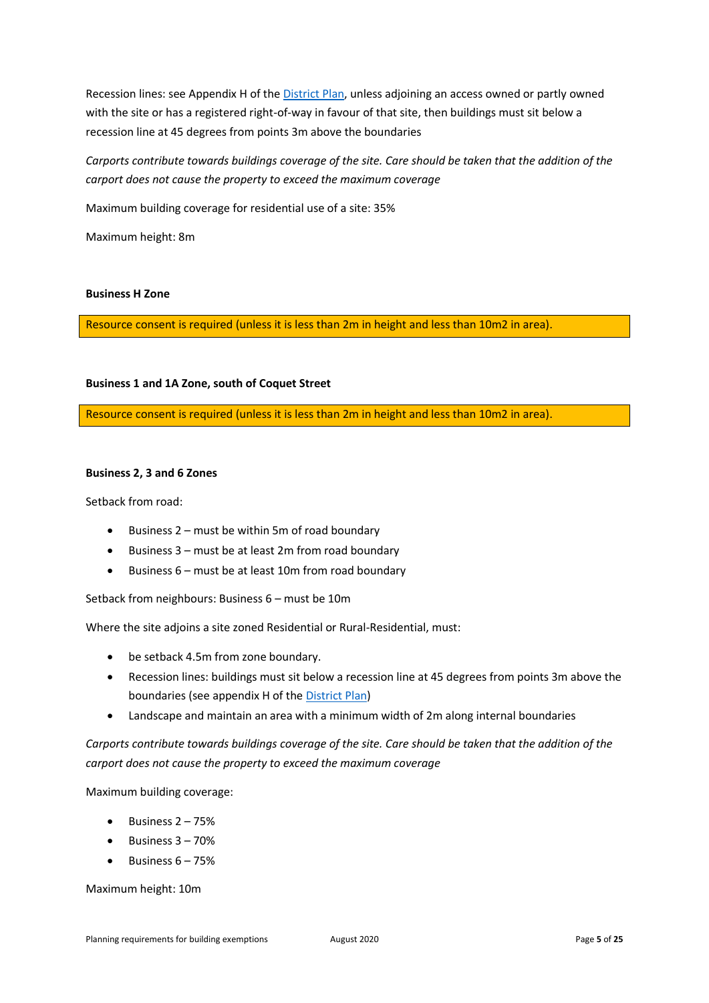Recession lines: see Appendix H of the [District Plan,](https://www.waitaki.govt.nz/our-services/planning-and-resource-consents/districtplan/Pages/districtplan.aspx) unless adjoining an access owned or partly owned with the site or has a registered right-of-way in favour of that site, then buildings must sit below a recession line at 45 degrees from points 3m above the boundaries

*Carports contribute towards buildings coverage of the site. Care should be taken that the addition of the carport does not cause the property to exceed the maximum coverage*

Maximum building coverage for residential use of a site: 35%

Maximum height: 8m

# **Business H Zone**

Resource consent is required (unless it is less than 2m in height and less than 10m2 in area).

# **Business 1 and 1A Zone, south of Coquet Street**

Resource consent is required (unless it is less than 2m in height and less than 10m2 in area).

#### **Business 2, 3 and 6 Zones**

Setback from road:

- Business 2 must be within 5m of road boundary
- Business 3 must be at least 2m from road boundary
- Business 6 must be at least 10m from road boundary

Setback from neighbours: Business 6 – must be 10m

Where the site adjoins a site zoned Residential or Rural-Residential, must:

- be setback 4.5m from zone boundary.
- Recession lines: buildings must sit below a recession line at 45 degrees from points 3m above the boundaries (see appendix H of the [District Plan\)](https://www.waitaki.govt.nz/our-services/planning-and-resource-consents/districtplan/Pages/districtplan.aspx)
- Landscape and maintain an area with a minimum width of 2m along internal boundaries

*Carports contribute towards buildings coverage of the site. Care should be taken that the addition of the carport does not cause the property to exceed the maximum coverage*

Maximum building coverage:

- Business 2 75%
- $\bullet$  Business  $3 70\%$
- $\bullet$  Business  $6 75\%$

Maximum height: 10m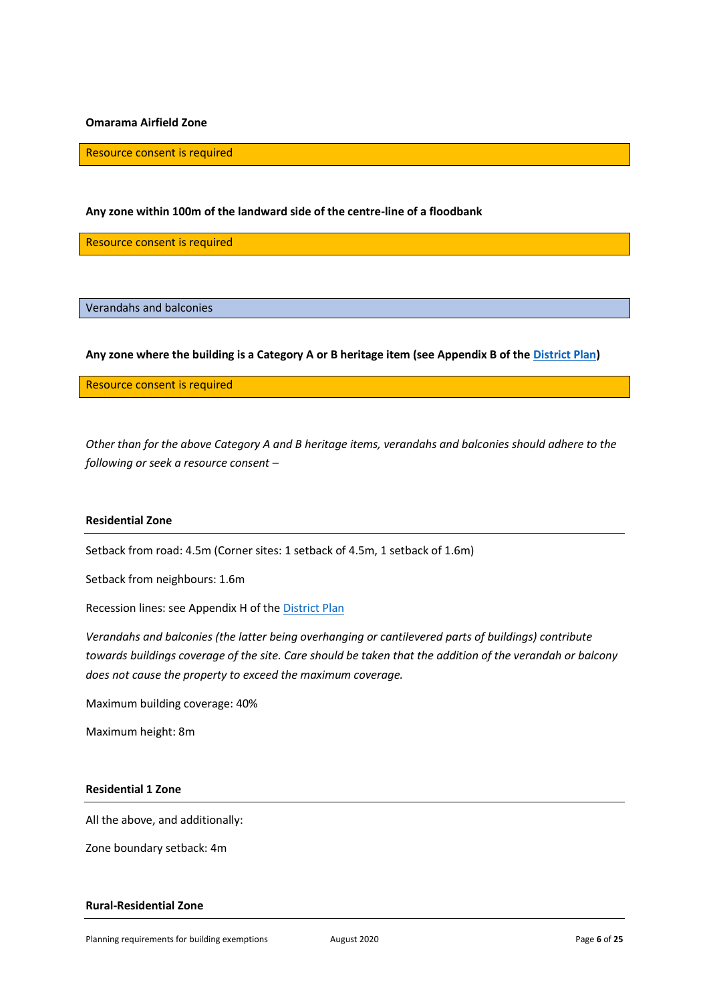#### **Omarama Airfield Zone**

Resource consent is required

#### **Any zone within 100m of the landward side of the centre-line of a floodbank**

Resource consent is required

<span id="page-6-0"></span>Verandahs and balconies

**Any zone where the building is a Category A or B heritage item (see Appendix B of the [District Plan\)](https://www.waitaki.govt.nz/our-services/planning-and-resource-consents/districtplan/Pages/districtplan.aspx)**

Resource consent is required

*Other than for the above Category A and B heritage items, verandahs and balconies should adhere to the following or seek a resource consent –*

# **Residential Zone**

Setback from road: 4.5m (Corner sites: 1 setback of 4.5m, 1 setback of 1.6m)

Setback from neighbours: 1.6m

Recession lines: see Appendix H of the [District Plan](https://www.waitaki.govt.nz/our-services/planning-and-resource-consents/districtplan/Pages/districtplan.aspx)

*Verandahs and balconies (the latter being overhanging or cantilevered parts of buildings) contribute towards buildings coverage of the site. Care should be taken that the addition of the verandah or balcony does not cause the property to exceed the maximum coverage.*

Maximum building coverage: 40%

Maximum height: 8m

#### **Residential 1 Zone**

All the above, and additionally:

Zone boundary setback: 4m

# **Rural-Residential Zone**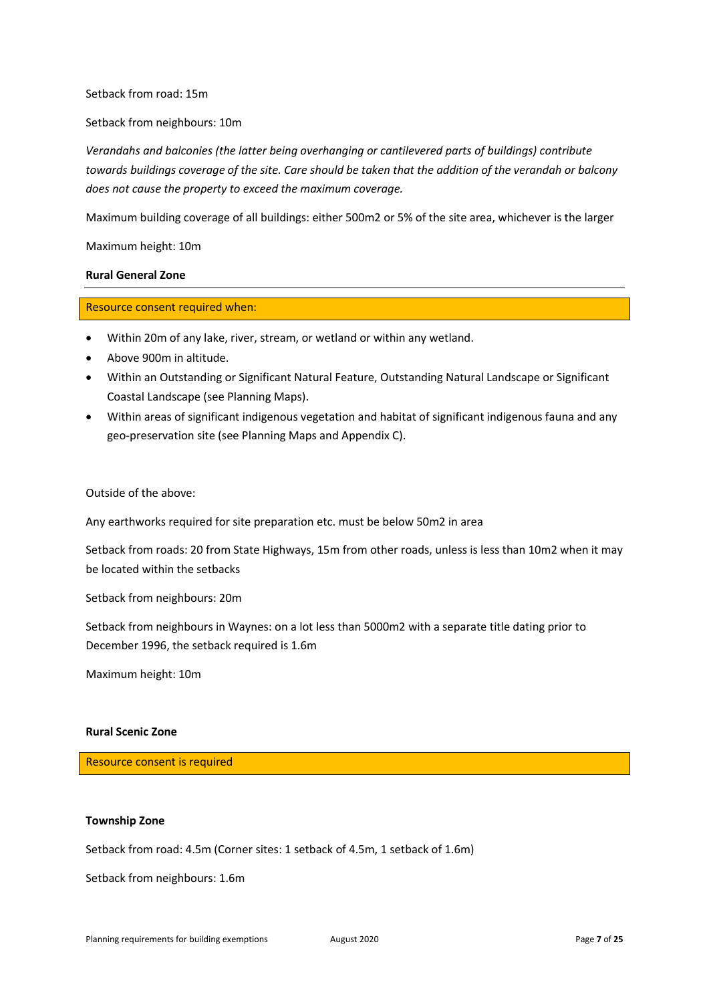#### Setback from road: 15m

#### Setback from neighbours: 10m

*Verandahs and balconies (the latter being overhanging or cantilevered parts of buildings) contribute towards buildings coverage of the site. Care should be taken that the addition of the verandah or balcony does not cause the property to exceed the maximum coverage.*

Maximum building coverage of all buildings: either 500m2 or 5% of the site area, whichever is the larger

Maximum height: 10m

# **Rural General Zone**

#### Resource consent required when:

- Within 20m of any lake, river, stream, or wetland or within any wetland.
- Above 900m in altitude.
- Within an Outstanding or Significant Natural Feature, Outstanding Natural Landscape or Significant Coastal Landscape (see Planning Maps).
- Within areas of significant indigenous vegetation and habitat of significant indigenous fauna and any geo-preservation site (see Planning Maps and Appendix C).

Outside of the above:

Any earthworks required for site preparation etc. must be below 50m2 in area

Setback from roads: 20 from State Highways, 15m from other roads, unless is less than 10m2 when it may be located within the setbacks

Setback from neighbours: 20m

Setback from neighbours in Waynes: on a lot less than 5000m2 with a separate title dating prior to December 1996, the setback required is 1.6m

Maximum height: 10m

#### **Rural Scenic Zone**

Resource consent is required

#### **Township Zone**

Setback from road: 4.5m (Corner sites: 1 setback of 4.5m, 1 setback of 1.6m)

Setback from neighbours: 1.6m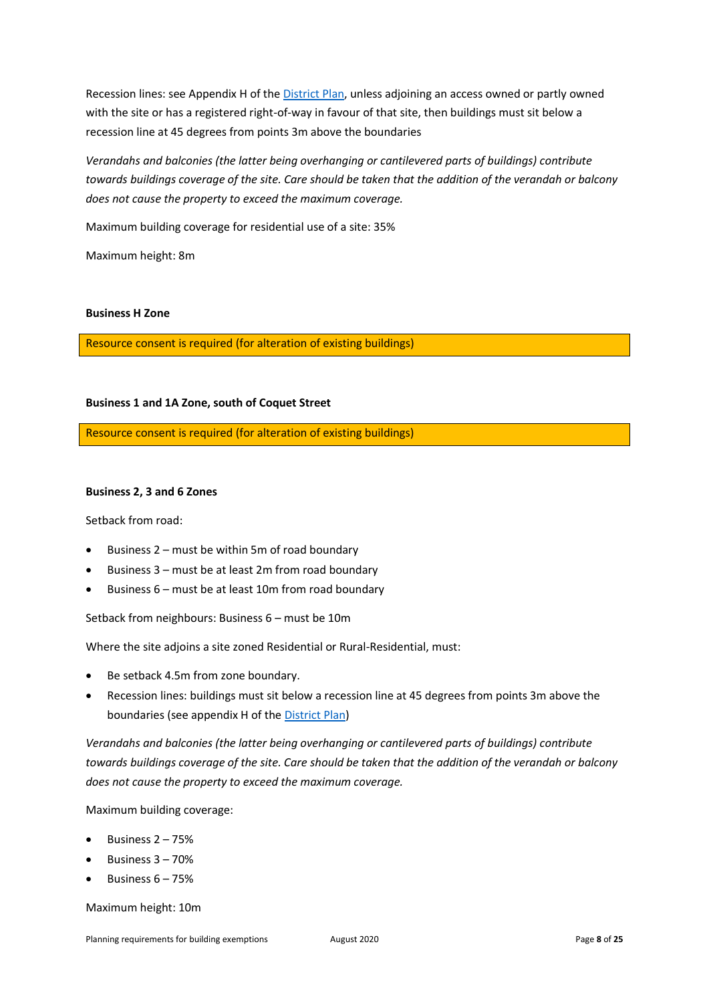Recession lines: see Appendix H of the [District Plan,](https://www.waitaki.govt.nz/our-services/planning-and-resource-consents/districtplan/Pages/districtplan.aspx) unless adjoining an access owned or partly owned with the site or has a registered right-of-way in favour of that site, then buildings must sit below a recession line at 45 degrees from points 3m above the boundaries

*Verandahs and balconies (the latter being overhanging or cantilevered parts of buildings) contribute towards buildings coverage of the site. Care should be taken that the addition of the verandah or balcony does not cause the property to exceed the maximum coverage.*

Maximum building coverage for residential use of a site: 35%

Maximum height: 8m

#### **Business H Zone**

Resource consent is required (for alteration of existing buildings)

# **Business 1 and 1A Zone, south of Coquet Street**

Resource consent is required (for alteration of existing buildings)

#### **Business 2, 3 and 6 Zones**

Setback from road:

- Business 2 must be within 5m of road boundary
- Business 3 must be at least 2m from road boundary
- Business 6 must be at least 10m from road boundary

Setback from neighbours: Business 6 – must be 10m

Where the site adjoins a site zoned Residential or Rural-Residential, must:

- Be setback 4.5m from zone boundary.
- Recession lines: buildings must sit below a recession line at 45 degrees from points 3m above the boundaries (see appendix H of the [District Plan\)](https://www.waitaki.govt.nz/our-services/planning-and-resource-consents/districtplan/Pages/districtplan.aspx)

*Verandahs and balconies (the latter being overhanging or cantilevered parts of buildings) contribute towards buildings coverage of the site. Care should be taken that the addition of the verandah or balcony does not cause the property to exceed the maximum coverage.*

Maximum building coverage:

- Business  $2 75%$
- Business 3 70%
- Business 6 75%

Maximum height: 10m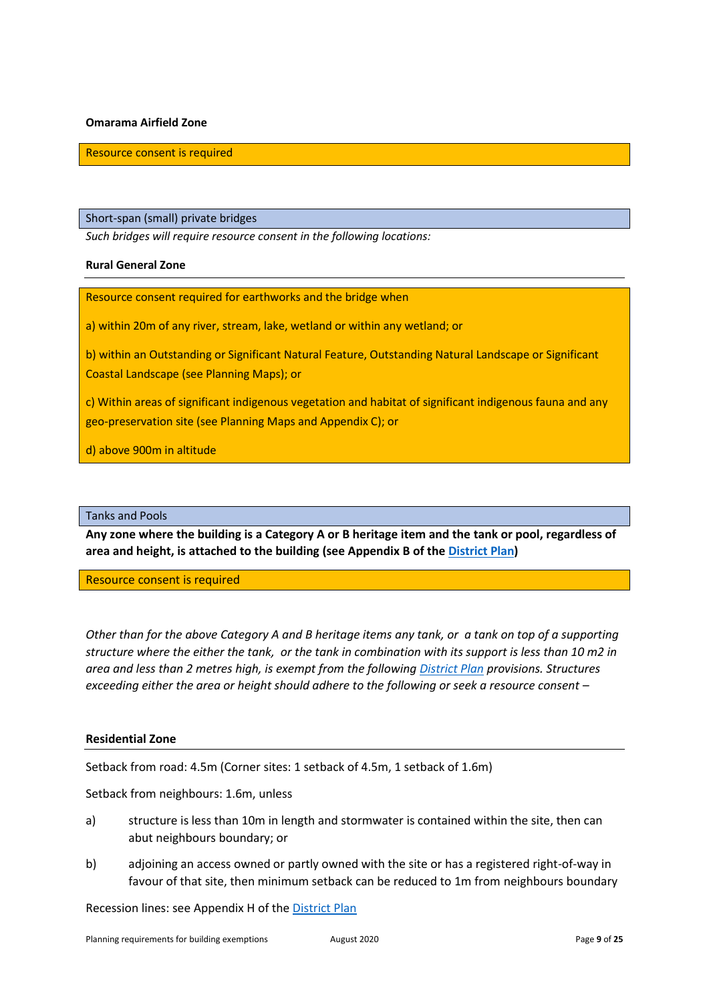# **Omarama Airfield Zone**

Resource consent is required

<span id="page-9-0"></span>Short-span (small) private bridges

*Such bridges will require resource consent in the following locations:* 

#### **Rural General Zone**

Resource consent required for earthworks and the bridge when

a) within 20m of any river, stream, lake, wetland or within any wetland; or

b) within an Outstanding or Significant Natural Feature, Outstanding Natural Landscape or Significant Coastal Landscape (see Planning Maps); or

c) Within areas of significant indigenous vegetation and habitat of significant indigenous fauna and any geo-preservation site (see Planning Maps and Appendix C); or

d) above 900m in altitude

# <span id="page-9-1"></span>Tanks and Pools

**Any zone where the building is a Category A or B heritage item and the tank or pool, regardless of area and height, is attached to the building (see Appendix B of th[e District Plan\)](https://www.waitaki.govt.nz/our-services/planning-and-resource-consents/districtplan/Pages/districtplan.aspx)**

Resource consent is required

*Other than for the above Category A and B heritage items any tank, or a tank on top of a supporting structure where the either the tank, or the tank in combination with its support is less than 10 m2 in area and less than 2 metres high, is exempt from the following [District Plan](https://www.waitaki.govt.nz/our-services/planning-and-resource-consents/districtplan/Pages/districtplan.aspx) provisions. Structures exceeding either the area or height should adhere to the following or seek a resource consent –*

# **Residential Zone**

Setback from road: 4.5m (Corner sites: 1 setback of 4.5m, 1 setback of 1.6m)

Setback from neighbours: 1.6m, unless

- a) structure is less than 10m in length and stormwater is contained within the site, then can abut neighbours boundary; or
- b) adjoining an access owned or partly owned with the site or has a registered right-of-way in favour of that site, then minimum setback can be reduced to 1m from neighbours boundary

Recession lines: see Appendix H of th[e District Plan](https://www.waitaki.govt.nz/our-services/planning-and-resource-consents/districtplan/Pages/districtplan.aspx)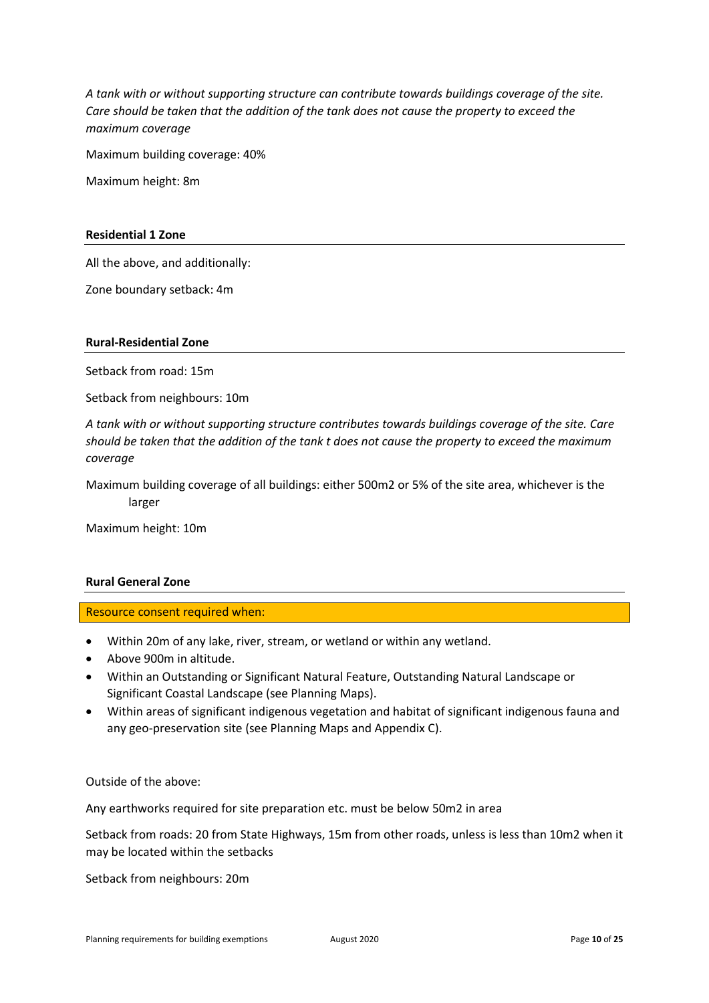*A tank with or without supporting structure can contribute towards buildings coverage of the site. Care should be taken that the addition of the tank does not cause the property to exceed the maximum coverage*

Maximum building coverage: 40%

Maximum height: 8m

# **Residential 1 Zone**

All the above, and additionally:

Zone boundary setback: 4m

# **Rural-Residential Zone**

Setback from road: 15m

Setback from neighbours: 10m

*A tank with or without supporting structure contributes towards buildings coverage of the site. Care should be taken that the addition of the tank t does not cause the property to exceed the maximum coverage*

Maximum building coverage of all buildings: either 500m2 or 5% of the site area, whichever is the larger

Maximum height: 10m

# **Rural General Zone**

Resource consent required when:

- Within 20m of any lake, river, stream, or wetland or within any wetland.
- Above 900m in altitude.
- Within an Outstanding or Significant Natural Feature, Outstanding Natural Landscape or Significant Coastal Landscape (see Planning Maps).
- Within areas of significant indigenous vegetation and habitat of significant indigenous fauna and any geo-preservation site (see Planning Maps and Appendix C).

Outside of the above:

Any earthworks required for site preparation etc. must be below 50m2 in area

Setback from roads: 20 from State Highways, 15m from other roads, unless is less than 10m2 when it may be located within the setbacks

Setback from neighbours: 20m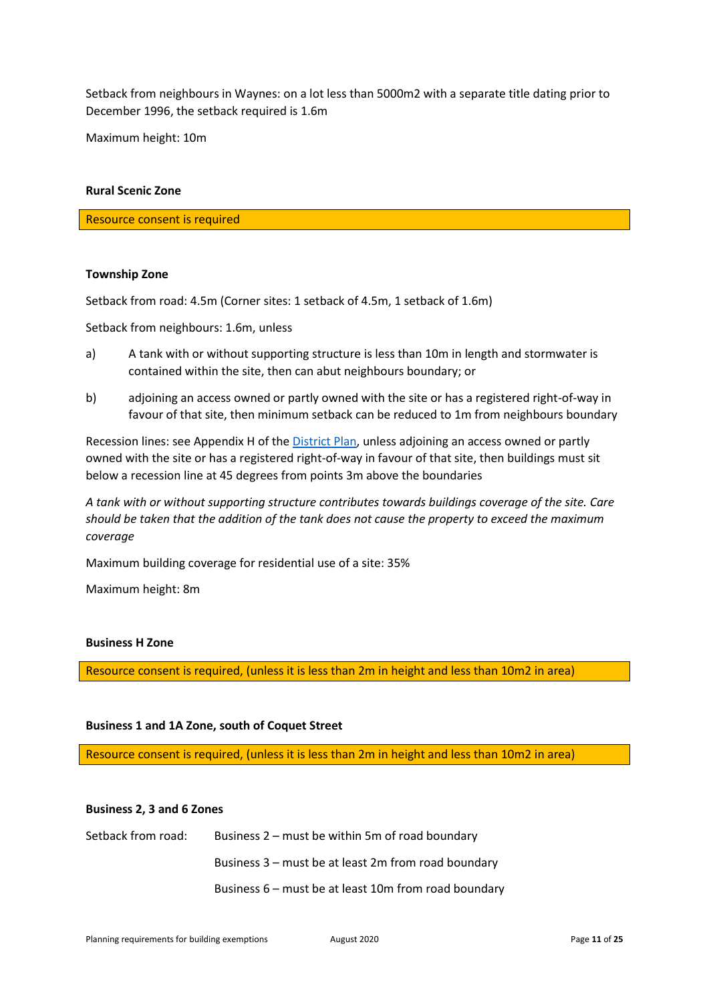Setback from neighbours in Waynes: on a lot less than 5000m2 with a separate title dating prior to December 1996, the setback required is 1.6m

Maximum height: 10m

#### **Rural Scenic Zone**

Resource consent is required

#### **Township Zone**

Setback from road: 4.5m (Corner sites: 1 setback of 4.5m, 1 setback of 1.6m)

Setback from neighbours: 1.6m, unless

- a) A tank with or without supporting structure is less than 10m in length and stormwater is contained within the site, then can abut neighbours boundary; or
- b) adjoining an access owned or partly owned with the site or has a registered right-of-way in favour of that site, then minimum setback can be reduced to 1m from neighbours boundary

Recession lines: see Appendix H of th[e District Plan,](https://www.waitaki.govt.nz/our-services/planning-and-resource-consents/districtplan/Pages/districtplan.aspx) unless adjoining an access owned or partly owned with the site or has a registered right-of-way in favour of that site, then buildings must sit below a recession line at 45 degrees from points 3m above the boundaries

*A tank with or without supporting structure contributes towards buildings coverage of the site. Care should be taken that the addition of the tank does not cause the property to exceed the maximum coverage*

Maximum building coverage for residential use of a site: 35%

Maximum height: 8m

#### **Business H Zone**

Resource consent is required, (unless it is less than 2m in height and less than 10m2 in area)

# **Business 1 and 1A Zone, south of Coquet Street**

Resource consent is required, (unless it is less than 2m in height and less than 10m2 in area)

#### **Business 2, 3 and 6 Zones**

Setback from road: Business 2 – must be within 5m of road boundary Business 3 – must be at least 2m from road boundary Business 6 – must be at least 10m from road boundary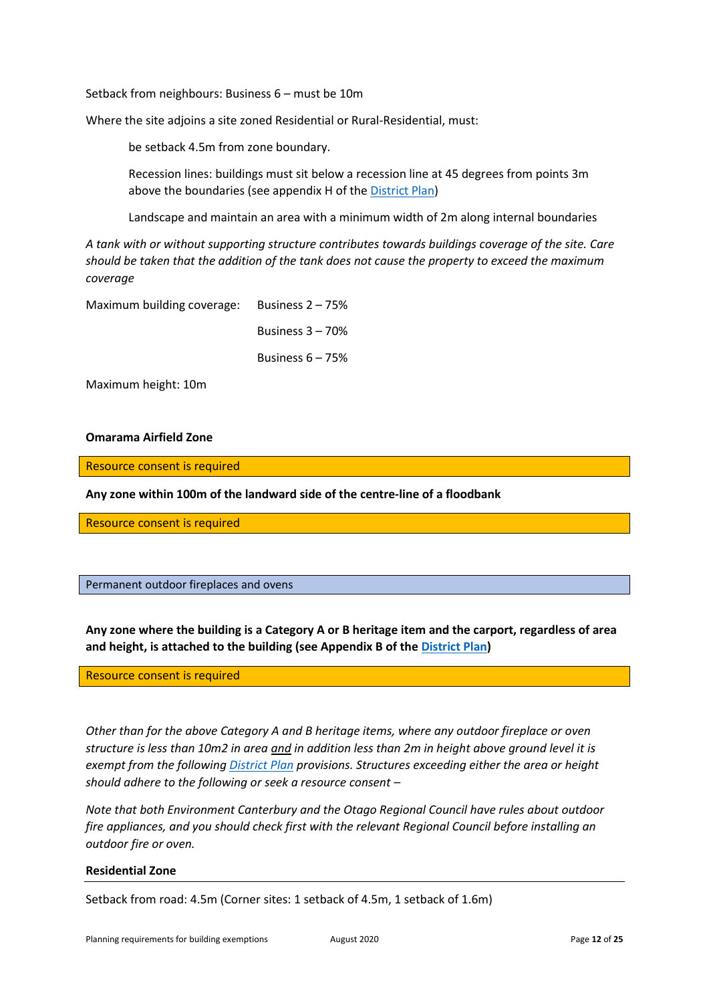Setback from neighbours: Business 6 – must be 10m

Where the site adjoins a site zoned Residential or Rural-Residential, must:

be setback 4.5m from zone boundary.

Recession lines: buildings must sit below a recession line at 45 degrees from points 3m above the boundaries (see appendix H of the [District Plan\)](https://www.waitaki.govt.nz/our-services/planning-and-resource-consents/districtplan/Pages/districtplan.aspx)

Landscape and maintain an area with a minimum width of 2m along internal boundaries

*A tank with or without supporting structure contributes towards buildings coverage of the site. Care should be taken that the addition of the tank does not cause the property to exceed the maximum coverage*

Maximum building coverage: Business 2 – 75%

Business 3 – 70%

Business 6 – 75%

Maximum height: 10m

# **Omarama Airfield Zone**

Resource consent is required

**Any zone within 100m of the landward side of the centre-line of a floodbank** 

Resource consent is required

<span id="page-12-0"></span>Permanent outdoor fireplaces and ovens

**Any zone where the building is a Category A or B heritage item and the carport, regardless of area and height, is attached to the building (see Appendix B of th[e District Plan\)](https://www.waitaki.govt.nz/our-services/planning-and-resource-consents/districtplan/Pages/districtplan.aspx)**

Resource consent is required

*Other than for the above Category A and B heritage items, where any outdoor fireplace or oven structure is less than 10m2 in area and in addition less than 2m in height above ground level it is exempt from the followin[g District Plan](https://www.waitaki.govt.nz/our-services/planning-and-resource-consents/districtplan/Pages/districtplan.aspx) provisions. Structures exceeding either the area or height should adhere to the following or seek a resource consent –*

*Note that both Environment Canterbury and the Otago Regional Council have rules about outdoor fire appliances, and you should check first with the relevant Regional Council before installing an outdoor fire or oven.* 

#### **Residential Zone**

Setback from road: 4.5m (Corner sites: 1 setback of 4.5m, 1 setback of 1.6m)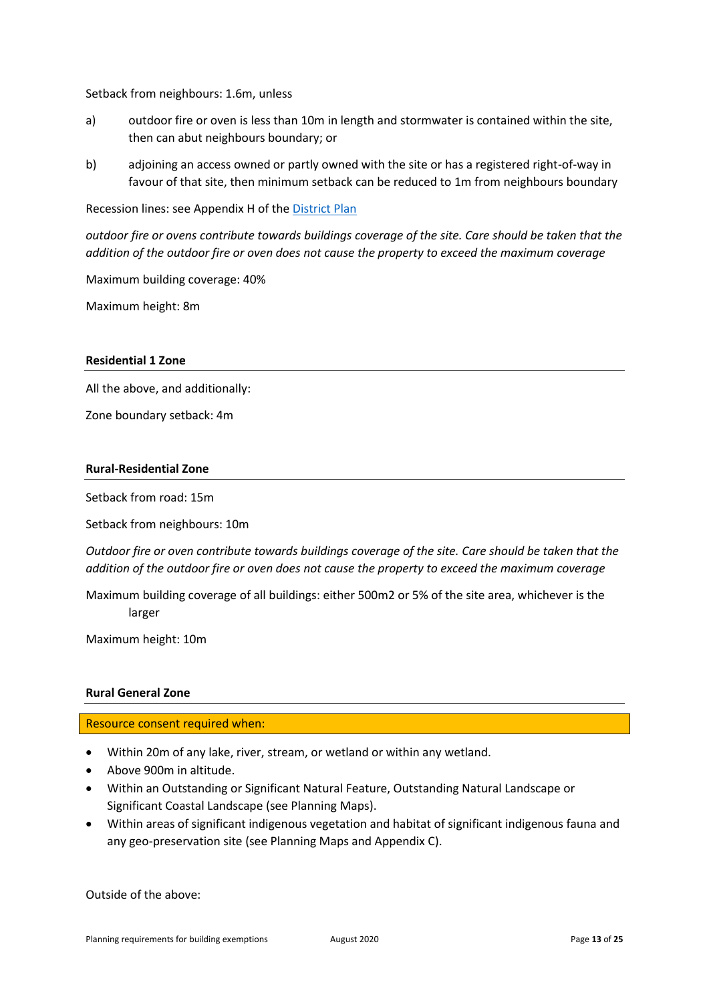Setback from neighbours: 1.6m, unless

- a) outdoor fire or oven is less than 10m in length and stormwater is contained within the site, then can abut neighbours boundary; or
- b) adjoining an access owned or partly owned with the site or has a registered right-of-way in favour of that site, then minimum setback can be reduced to 1m from neighbours boundary

Recession lines: see Appendix H of th[e District Plan](https://www.waitaki.govt.nz/our-services/planning-and-resource-consents/districtplan/Pages/districtplan.aspx)

*outdoor fire or ovens contribute towards buildings coverage of the site. Care should be taken that the addition of the outdoor fire or oven does not cause the property to exceed the maximum coverage*

Maximum building coverage: 40%

Maximum height: 8m

# **Residential 1 Zone**

All the above, and additionally:

Zone boundary setback: 4m

# **Rural-Residential Zone**

Setback from road: 15m

Setback from neighbours: 10m

*Outdoor fire or oven contribute towards buildings coverage of the site. Care should be taken that the addition of the outdoor fire or oven does not cause the property to exceed the maximum coverage*

Maximum building coverage of all buildings: either 500m2 or 5% of the site area, whichever is the larger

Maximum height: 10m

# **Rural General Zone**

Resource consent required when:

- Within 20m of any lake, river, stream, or wetland or within any wetland.
- Above 900m in altitude.
- Within an Outstanding or Significant Natural Feature, Outstanding Natural Landscape or Significant Coastal Landscape (see Planning Maps).
- Within areas of significant indigenous vegetation and habitat of significant indigenous fauna and any geo-preservation site (see Planning Maps and Appendix C).

Outside of the above: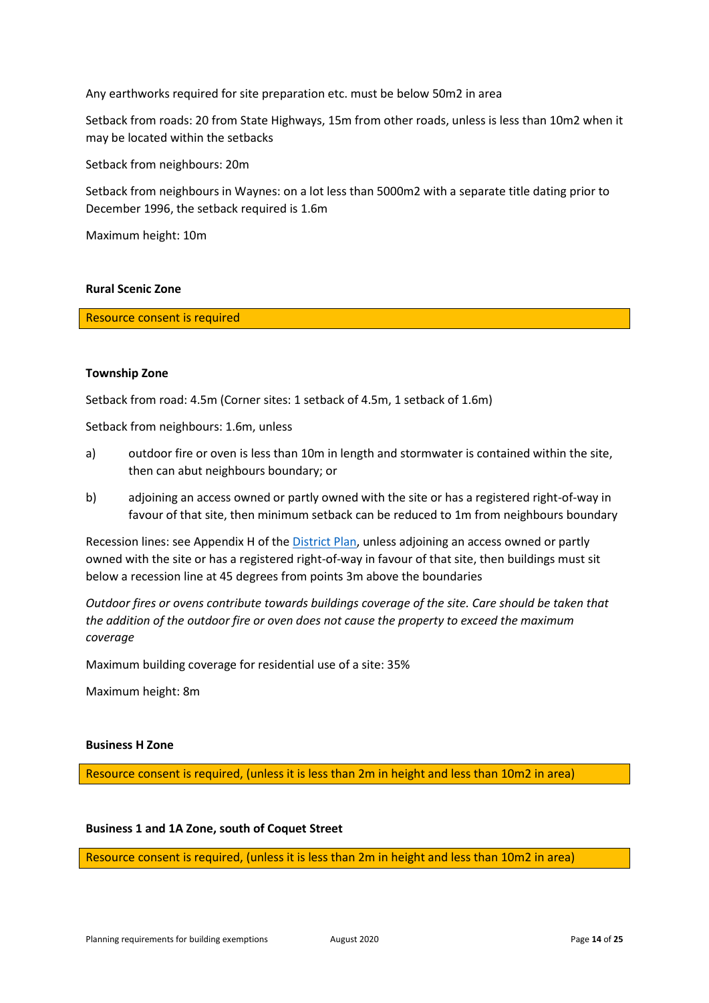Any earthworks required for site preparation etc. must be below 50m2 in area

Setback from roads: 20 from State Highways, 15m from other roads, unless is less than 10m2 when it may be located within the setbacks

Setback from neighbours: 20m

Setback from neighbours in Waynes: on a lot less than 5000m2 with a separate title dating prior to December 1996, the setback required is 1.6m

Maximum height: 10m

# **Rural Scenic Zone**

Resource consent is required

#### **Township Zone**

Setback from road: 4.5m (Corner sites: 1 setback of 4.5m, 1 setback of 1.6m)

Setback from neighbours: 1.6m, unless

- a) outdoor fire or oven is less than 10m in length and stormwater is contained within the site, then can abut neighbours boundary; or
- b) adjoining an access owned or partly owned with the site or has a registered right-of-way in favour of that site, then minimum setback can be reduced to 1m from neighbours boundary

Recession lines: see Appendix H of th[e District Plan,](https://www.waitaki.govt.nz/our-services/planning-and-resource-consents/districtplan/Pages/districtplan.aspx) unless adjoining an access owned or partly owned with the site or has a registered right-of-way in favour of that site, then buildings must sit below a recession line at 45 degrees from points 3m above the boundaries

*Outdoor fires or ovens contribute towards buildings coverage of the site. Care should be taken that the addition of the outdoor fire or oven does not cause the property to exceed the maximum coverage*

Maximum building coverage for residential use of a site: 35%

Maximum height: 8m

#### **Business H Zone**

Resource consent is required, (unless it is less than 2m in height and less than 10m2 in area)

#### **Business 1 and 1A Zone, south of Coquet Street**

Resource consent is required, (unless it is less than 2m in height and less than 10m2 in area)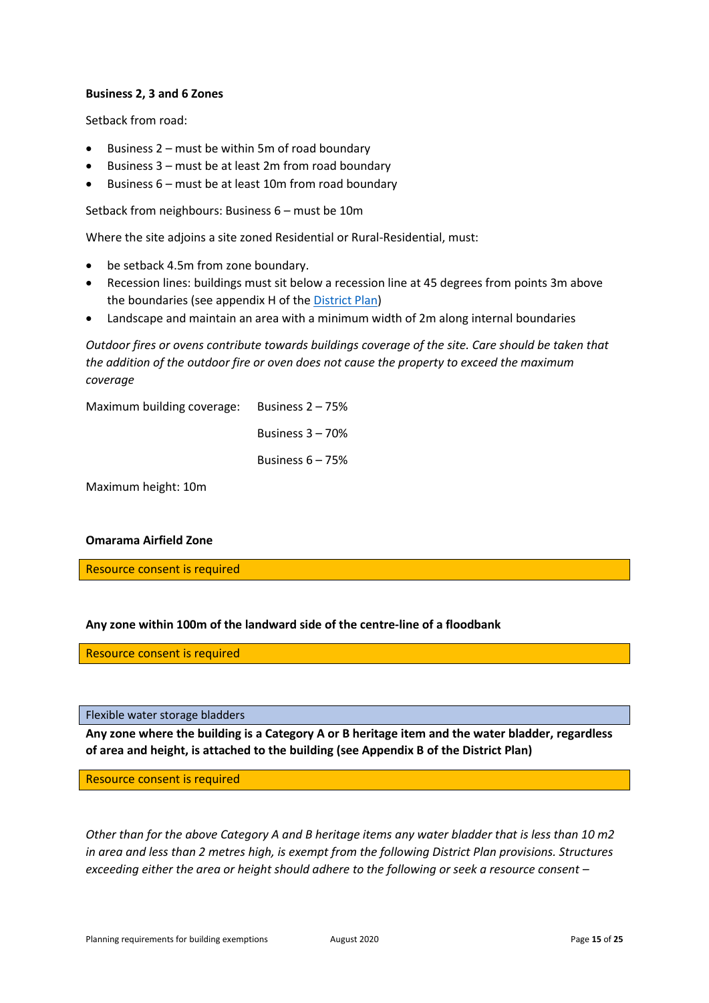# **Business 2, 3 and 6 Zones**

Setback from road:

- Business 2 must be within 5m of road boundary
- Business 3 must be at least 2m from road boundary
- Business 6 must be at least 10m from road boundary

Setback from neighbours: Business 6 – must be 10m

Where the site adjoins a site zoned Residential or Rural-Residential, must:

- be setback 4.5m from zone boundary.
- Recession lines: buildings must sit below a recession line at 45 degrees from points 3m above the boundaries (see appendix H of the [District Plan\)](https://www.waitaki.govt.nz/our-services/planning-and-resource-consents/districtplan/Pages/districtplan.aspx)
- Landscape and maintain an area with a minimum width of 2m along internal boundaries

*Outdoor fires or ovens contribute towards buildings coverage of the site. Care should be taken that the addition of the outdoor fire or oven does not cause the property to exceed the maximum coverage*

Maximum building coverage: Business 2 – 75%

Business 3 – 70%

Business 6 – 75%

Maximum height: 10m

# **Omarama Airfield Zone**

Resource consent is required

# **Any zone within 100m of the landward side of the centre-line of a floodbank**

Resource consent is required

# <span id="page-15-0"></span>Flexible water storage bladders

**Any zone where the building is a Category A or B heritage item and the water bladder, regardless of area and height, is attached to the building (see Appendix B of the District Plan)**

Resource consent is required

*Other than for the above Category A and B heritage items any water bladder that is less than 10 m2 in area and less than 2 metres high, is exempt from the following District Plan provisions. Structures exceeding either the area or height should adhere to the following or seek a resource consent –*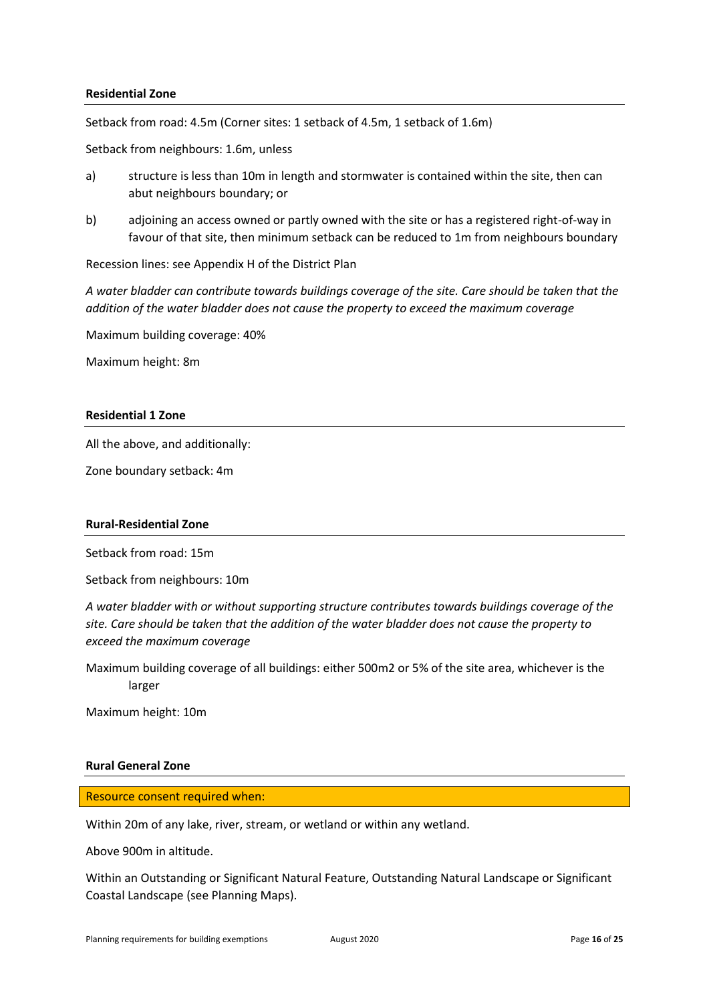# **Residential Zone**

Setback from road: 4.5m (Corner sites: 1 setback of 4.5m, 1 setback of 1.6m)

Setback from neighbours: 1.6m, unless

- a) structure is less than 10m in length and stormwater is contained within the site, then can abut neighbours boundary; or
- b) adjoining an access owned or partly owned with the site or has a registered right-of-way in favour of that site, then minimum setback can be reduced to 1m from neighbours boundary

Recession lines: see Appendix H of the District Plan

*A water bladder can contribute towards buildings coverage of the site. Care should be taken that the addition of the water bladder does not cause the property to exceed the maximum coverage*

Maximum building coverage: 40%

Maximum height: 8m

# **Residential 1 Zone**

All the above, and additionally:

Zone boundary setback: 4m

# **Rural-Residential Zone**

Setback from road: 15m

Setback from neighbours: 10m

*A water bladder with or without supporting structure contributes towards buildings coverage of the site. Care should be taken that the addition of the water bladder does not cause the property to exceed the maximum coverage*

Maximum building coverage of all buildings: either 500m2 or 5% of the site area, whichever is the larger

Maximum height: 10m

# **Rural General Zone**

Resource consent required when:

Within 20m of any lake, river, stream, or wetland or within any wetland.

Above 900m in altitude.

Within an Outstanding or Significant Natural Feature, Outstanding Natural Landscape or Significant Coastal Landscape (see Planning Maps).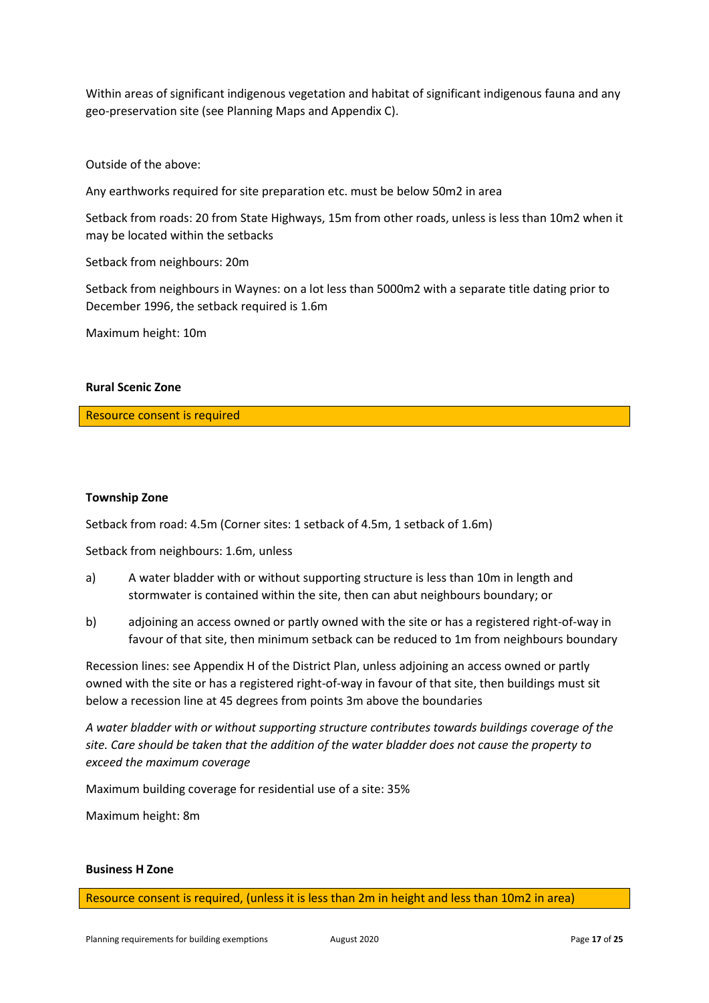Within areas of significant indigenous vegetation and habitat of significant indigenous fauna and any geo-preservation site (see Planning Maps and Appendix C).

Outside of the above:

Any earthworks required for site preparation etc. must be below 50m2 in area

Setback from roads: 20 from State Highways, 15m from other roads, unless is less than 10m2 when it may be located within the setbacks

Setback from neighbours: 20m

Setback from neighbours in Waynes: on a lot less than 5000m2 with a separate title dating prior to December 1996, the setback required is 1.6m

Maximum height: 10m

# **Rural Scenic Zone**

Resource consent is required

#### **Township Zone**

Setback from road: 4.5m (Corner sites: 1 setback of 4.5m, 1 setback of 1.6m)

Setback from neighbours: 1.6m, unless

- a) A water bladder with or without supporting structure is less than 10m in length and stormwater is contained within the site, then can abut neighbours boundary; or
- b) adjoining an access owned or partly owned with the site or has a registered right-of-way in favour of that site, then minimum setback can be reduced to 1m from neighbours boundary

Recession lines: see Appendix H of the District Plan, unless adjoining an access owned or partly owned with the site or has a registered right-of-way in favour of that site, then buildings must sit below a recession line at 45 degrees from points 3m above the boundaries

*A water bladder with or without supporting structure contributes towards buildings coverage of the site. Care should be taken that the addition of the water bladder does not cause the property to exceed the maximum coverage*

Maximum building coverage for residential use of a site: 35%

Maximum height: 8m

#### **Business H Zone**

Resource consent is required, (unless it is less than 2m in height and less than 10m2 in area)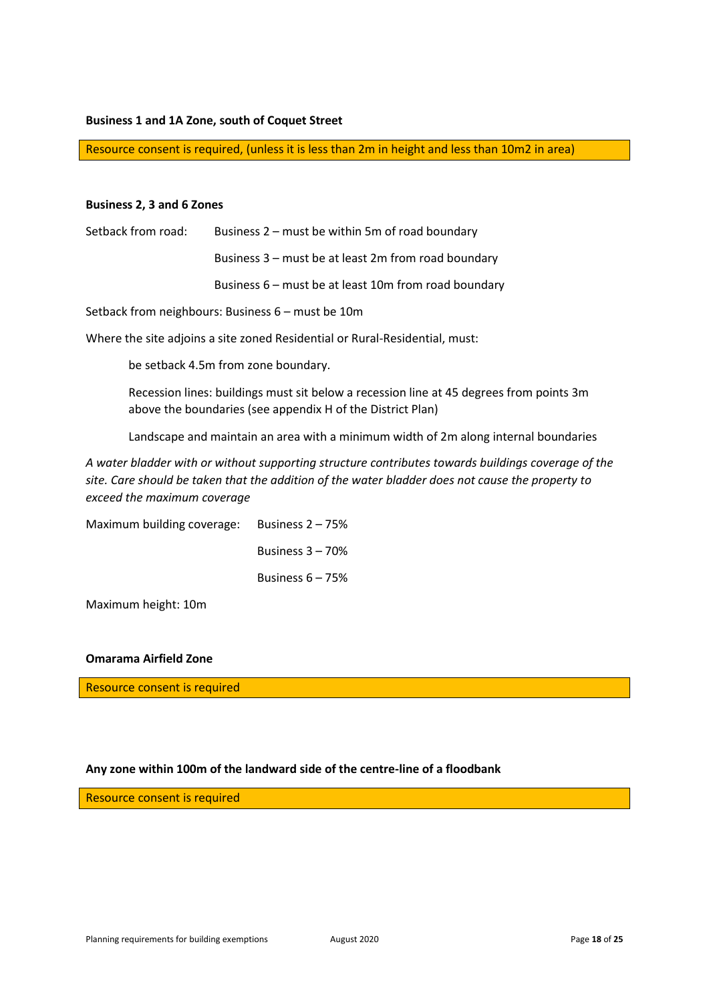#### **Business 1 and 1A Zone, south of Coquet Street**

Resource consent is required, (unless it is less than 2m in height and less than 10m2 in area)

#### **Business 2, 3 and 6 Zones**

| Setback from road: | Business $2$ – must be within 5m of road boundary      |
|--------------------|--------------------------------------------------------|
|                    | Business 3 – must be at least 2m from road boundary    |
|                    | Business $6$ – must be at least 10m from road boundary |

Setback from neighbours: Business 6 – must be 10m

Where the site adjoins a site zoned Residential or Rural-Residential, must:

be setback 4.5m from zone boundary.

Recession lines: buildings must sit below a recession line at 45 degrees from points 3m above the boundaries (see appendix H of the District Plan)

Landscape and maintain an area with a minimum width of 2m along internal boundaries

*A water bladder with or without supporting structure contributes towards buildings coverage of the site. Care should be taken that the addition of the water bladder does not cause the property to exceed the maximum coverage*

Maximum building coverage: Business 2 – 75% Business 3 – 70% Business 6 – 75%

Maximum height: 10m

# **Omarama Airfield Zone**

Resource consent is required

#### **Any zone within 100m of the landward side of the centre-line of a floodbank**

Resource consent is required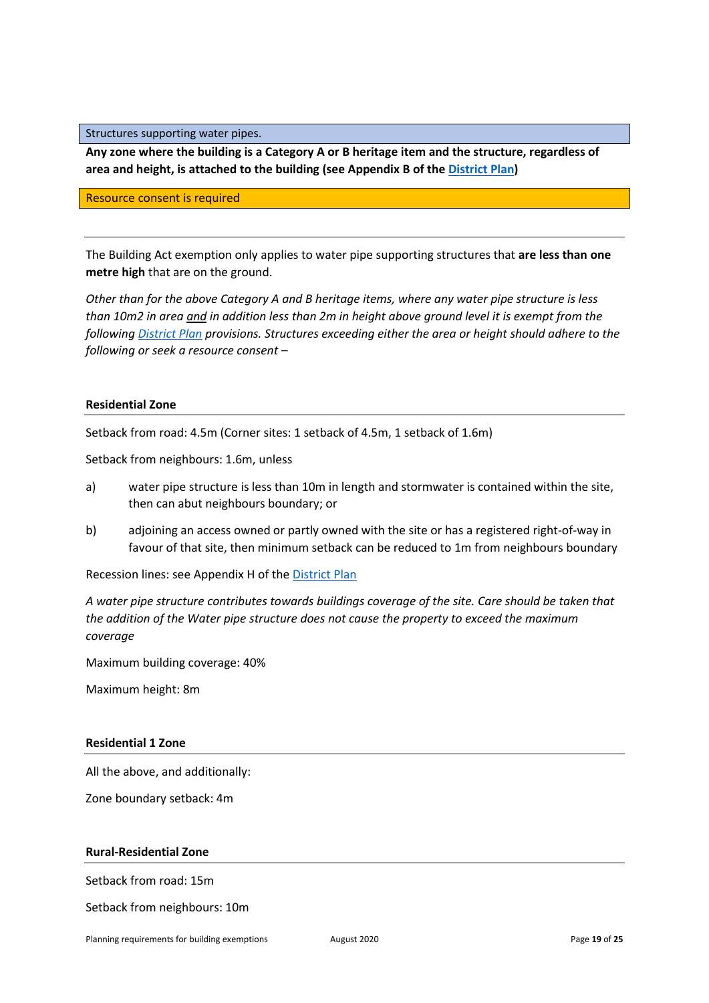<span id="page-19-0"></span>Structures supporting water pipes.

**Any zone where the building is a Category A or B heritage item and the structure, regardless of area and height, is attached to the building (see Appendix B of th[e District Plan\)](https://www.waitaki.govt.nz/our-services/planning-and-resource-consents/districtplan/Pages/districtplan.aspx)**

Resource consent is required

The Building Act exemption only applies to water pipe supporting structures that **are less than one metre high** that are on the ground.

*Other than for the above Category A and B heritage items, where any water pipe structure is less than 10m2 in area and in addition less than 2m in height above ground level it is exempt from the following [District Plan](https://www.waitaki.govt.nz/our-services/planning-and-resource-consents/districtplan/Pages/districtplan.aspx) provisions. Structures exceeding either the area or height should adhere to the following or seek a resource consent –*

# **Residential Zone**

Setback from road: 4.5m (Corner sites: 1 setback of 4.5m, 1 setback of 1.6m)

Setback from neighbours: 1.6m, unless

- a) water pipe structure is less than 10m in length and stormwater is contained within the site, then can abut neighbours boundary; or
- b) adjoining an access owned or partly owned with the site or has a registered right-of-way in favour of that site, then minimum setback can be reduced to 1m from neighbours boundary

Recession lines: see Appendix H of th[e District Plan](https://www.waitaki.govt.nz/our-services/planning-and-resource-consents/districtplan/Pages/districtplan.aspx)

*A water pipe structure contributes towards buildings coverage of the site. Care should be taken that the addition of the Water pipe structure does not cause the property to exceed the maximum coverage*

Maximum building coverage: 40%

Maximum height: 8m

# **Residential 1 Zone**

All the above, and additionally:

Zone boundary setback: 4m

# **Rural-Residential Zone**

Setback from road: 15m

Setback from neighbours: 10m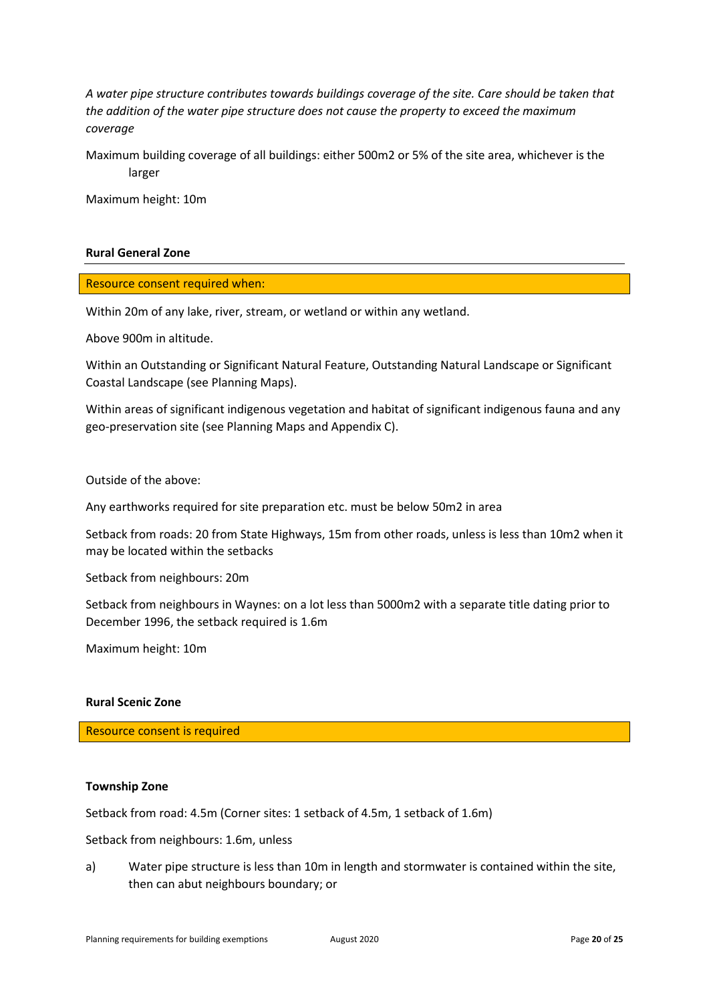*A water pipe structure contributes towards buildings coverage of the site. Care should be taken that the addition of the water pipe structure does not cause the property to exceed the maximum coverage*

Maximum building coverage of all buildings: either 500m2 or 5% of the site area, whichever is the larger

Maximum height: 10m

# **Rural General Zone**

Resource consent required when:

Within 20m of any lake, river, stream, or wetland or within any wetland.

Above 900m in altitude.

Within an Outstanding or Significant Natural Feature, Outstanding Natural Landscape or Significant Coastal Landscape (see Planning Maps).

Within areas of significant indigenous vegetation and habitat of significant indigenous fauna and any geo-preservation site (see Planning Maps and Appendix C).

Outside of the above:

Any earthworks required for site preparation etc. must be below 50m2 in area

Setback from roads: 20 from State Highways, 15m from other roads, unless is less than 10m2 when it may be located within the setbacks

Setback from neighbours: 20m

Setback from neighbours in Waynes: on a lot less than 5000m2 with a separate title dating prior to December 1996, the setback required is 1.6m

Maximum height: 10m

#### **Rural Scenic Zone**

Resource consent is required

# **Township Zone**

Setback from road: 4.5m (Corner sites: 1 setback of 4.5m, 1 setback of 1.6m)

Setback from neighbours: 1.6m, unless

a) Water pipe structure is less than 10m in length and stormwater is contained within the site, then can abut neighbours boundary; or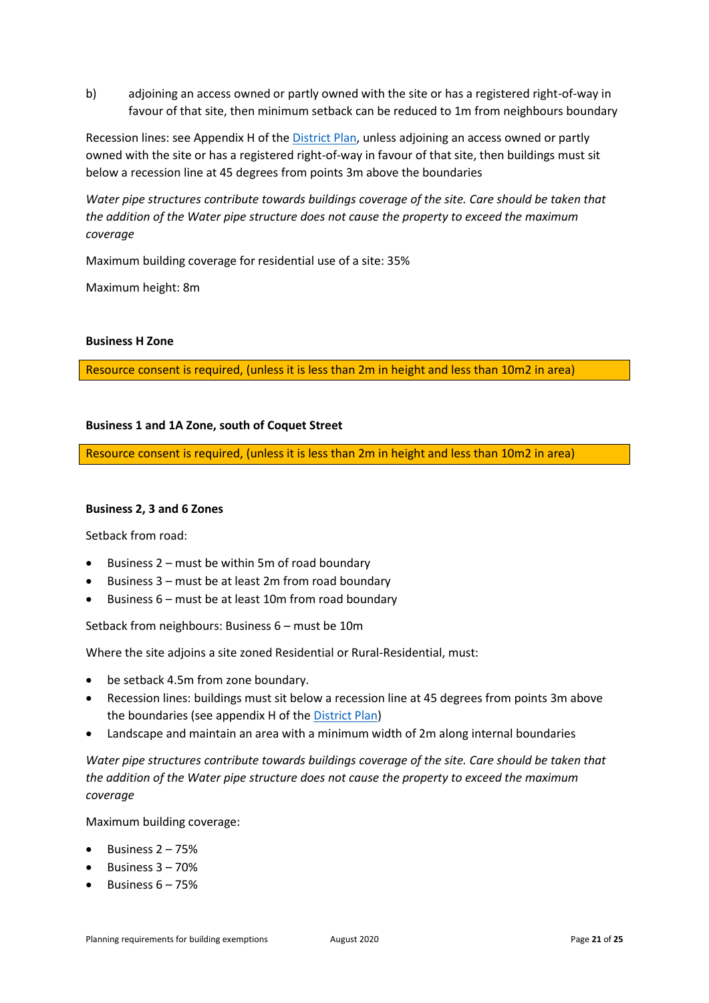b) adjoining an access owned or partly owned with the site or has a registered right-of-way in favour of that site, then minimum setback can be reduced to 1m from neighbours boundary

Recession lines: see Appendix H of th[e District Plan,](https://www.waitaki.govt.nz/our-services/planning-and-resource-consents/districtplan/Pages/districtplan.aspx) unless adjoining an access owned or partly owned with the site or has a registered right-of-way in favour of that site, then buildings must sit below a recession line at 45 degrees from points 3m above the boundaries

*Water pipe structures contribute towards buildings coverage of the site. Care should be taken that the addition of the Water pipe structure does not cause the property to exceed the maximum coverage*

Maximum building coverage for residential use of a site: 35%

Maximum height: 8m

# **Business H Zone**

Resource consent is required, (unless it is less than 2m in height and less than 10m2 in area)

# **Business 1 and 1A Zone, south of Coquet Street**

Resource consent is required, (unless it is less than 2m in height and less than 10m2 in area)

# **Business 2, 3 and 6 Zones**

Setback from road:

- Business 2 must be within 5m of road boundary
- Business 3 must be at least 2m from road boundary
- Business 6 must be at least 10m from road boundary

Setback from neighbours: Business 6 – must be 10m

Where the site adjoins a site zoned Residential or Rural-Residential, must:

- be setback 4.5m from zone boundary.
- Recession lines: buildings must sit below a recession line at 45 degrees from points 3m above the boundaries (see appendix H of the [District Plan\)](https://www.waitaki.govt.nz/our-services/planning-and-resource-consents/districtplan/Pages/districtplan.aspx)
- Landscape and maintain an area with a minimum width of 2m along internal boundaries

*Water pipe structures contribute towards buildings coverage of the site. Care should be taken that the addition of the Water pipe structure does not cause the property to exceed the maximum coverage*

Maximum building coverage:

- Business  $2 75%$
- Business 3 70%
- Business  $6 75%$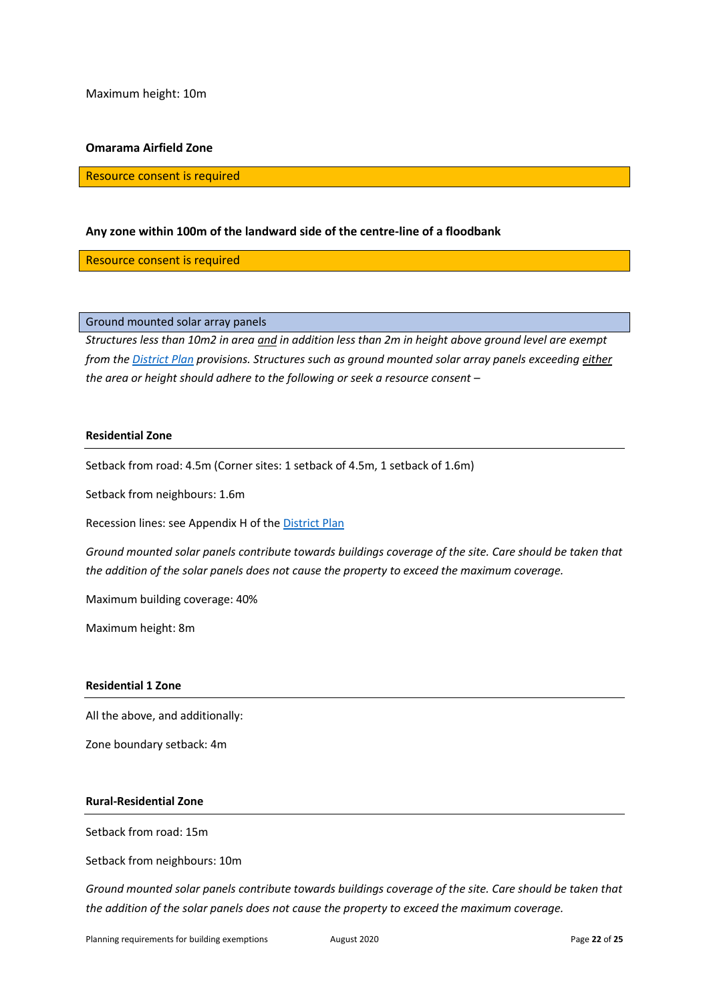Maximum height: 10m

#### **Omarama Airfield Zone**

Resource consent is required

# **Any zone within 100m of the landward side of the centre-line of a floodbank**

Resource consent is required

# <span id="page-22-0"></span>Ground mounted solar array panels

*Structures less than 10m2 in area and in addition less than 2m in height above ground level are exempt from th[e District Plan](https://www.waitaki.govt.nz/our-services/planning-and-resource-consents/districtplan/Pages/districtplan.aspx) provisions. Structures such as ground mounted solar array panels exceeding either the area or height should adhere to the following or seek a resource consent –*

#### **Residential Zone**

Setback from road: 4.5m (Corner sites: 1 setback of 4.5m, 1 setback of 1.6m)

Setback from neighbours: 1.6m

Recession lines: see Appendix H of the [District Plan](https://www.waitaki.govt.nz/our-services/planning-and-resource-consents/districtplan/Pages/districtplan.aspx)

*Ground mounted solar panels contribute towards buildings coverage of the site. Care should be taken that the addition of the solar panels does not cause the property to exceed the maximum coverage.*

Maximum building coverage: 40%

Maximum height: 8m

# **Residential 1 Zone**

All the above, and additionally:

Zone boundary setback: 4m

# **Rural-Residential Zone**

Setback from road: 15m

Setback from neighbours: 10m

*Ground mounted solar panels contribute towards buildings coverage of the site. Care should be taken that the addition of the solar panels does not cause the property to exceed the maximum coverage.*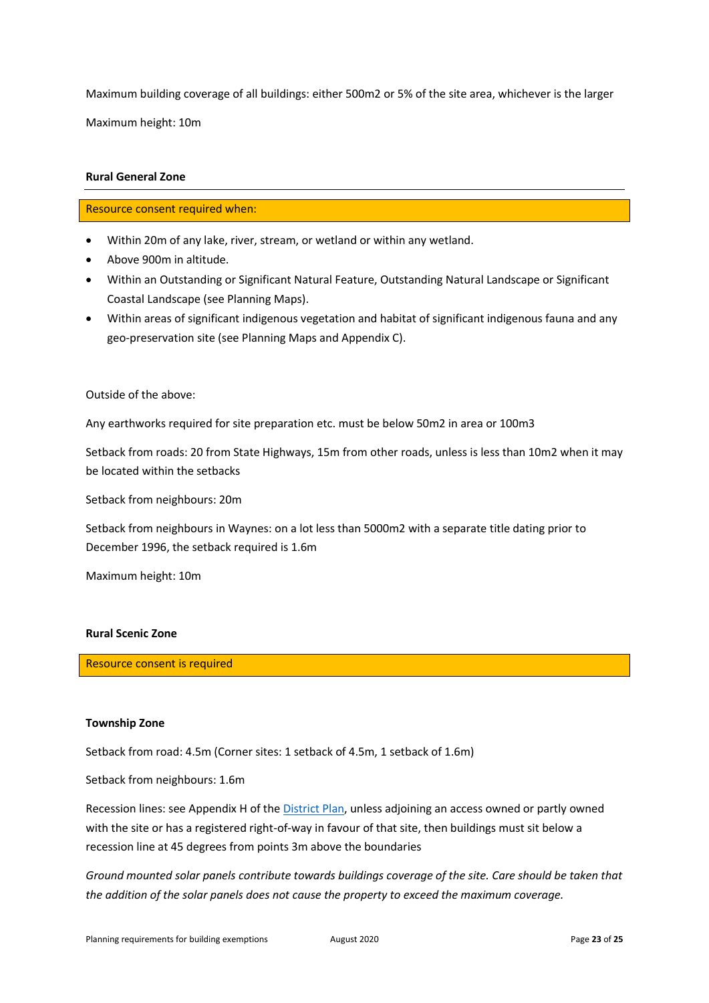Maximum building coverage of all buildings: either 500m2 or 5% of the site area, whichever is the larger Maximum height: 10m

# **Rural General Zone**

# Resource consent required when:

- Within 20m of any lake, river, stream, or wetland or within any wetland.
- Above 900m in altitude.
- Within an Outstanding or Significant Natural Feature, Outstanding Natural Landscape or Significant Coastal Landscape (see Planning Maps).
- Within areas of significant indigenous vegetation and habitat of significant indigenous fauna and any geo-preservation site (see Planning Maps and Appendix C).

Outside of the above:

Any earthworks required for site preparation etc. must be below 50m2 in area or 100m3

Setback from roads: 20 from State Highways, 15m from other roads, unless is less than 10m2 when it may be located within the setbacks

Setback from neighbours: 20m

Setback from neighbours in Waynes: on a lot less than 5000m2 with a separate title dating prior to December 1996, the setback required is 1.6m

Maximum height: 10m

# **Rural Scenic Zone**

Resource consent is required

# **Township Zone**

Setback from road: 4.5m (Corner sites: 1 setback of 4.5m, 1 setback of 1.6m)

Setback from neighbours: 1.6m

Recession lines: see Appendix H of the [District Plan,](https://www.waitaki.govt.nz/our-services/planning-and-resource-consents/districtplan/Pages/districtplan.aspx) unless adjoining an access owned or partly owned with the site or has a registered right-of-way in favour of that site, then buildings must sit below a recession line at 45 degrees from points 3m above the boundaries

*Ground mounted solar panels contribute towards buildings coverage of the site. Care should be taken that the addition of the solar panels does not cause the property to exceed the maximum coverage.*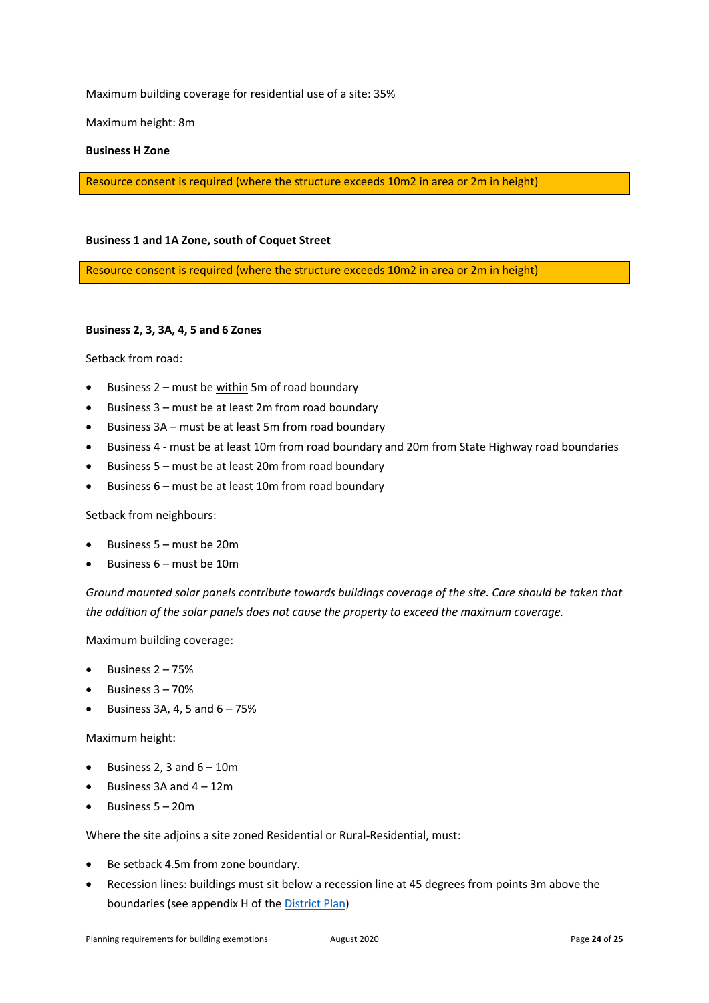Maximum building coverage for residential use of a site: 35%

Maximum height: 8m

# **Business H Zone**

Resource consent is required (where the structure exceeds 10m2 in area or 2m in height)

#### **Business 1 and 1A Zone, south of Coquet Street**

Resource consent is required (where the structure exceeds 10m2 in area or 2m in height)

#### **Business 2, 3, 3A, 4, 5 and 6 Zones**

Setback from road:

- Business 2 must be within 5m of road boundary
- Business 3 must be at least 2m from road boundary
- Business 3A must be at least 5m from road boundary
- Business 4 must be at least 10m from road boundary and 20m from State Highway road boundaries
- Business 5 must be at least 20m from road boundary
- Business 6 must be at least 10m from road boundary

Setback from neighbours:

- Business 5 must be 20m
- Business 6 must be 10m

*Ground mounted solar panels contribute towards buildings coverage of the site. Care should be taken that the addition of the solar panels does not cause the property to exceed the maximum coverage.*

Maximum building coverage:

- Business 2 75%
- Business 3 70%
- Business 3A, 4, 5 and  $6 75%$

Maximum height:

- Business 2, 3 and  $6 10m$
- $\bullet$  Business 3A and  $4 12m$
- Business 5 20m

Where the site adjoins a site zoned Residential or Rural-Residential, must:

- Be setback 4.5m from zone boundary.
- Recession lines: buildings must sit below a recession line at 45 degrees from points 3m above the boundaries (see appendix H of the [District Plan\)](https://www.waitaki.govt.nz/our-services/planning-and-resource-consents/districtplan/Pages/districtplan.aspx)